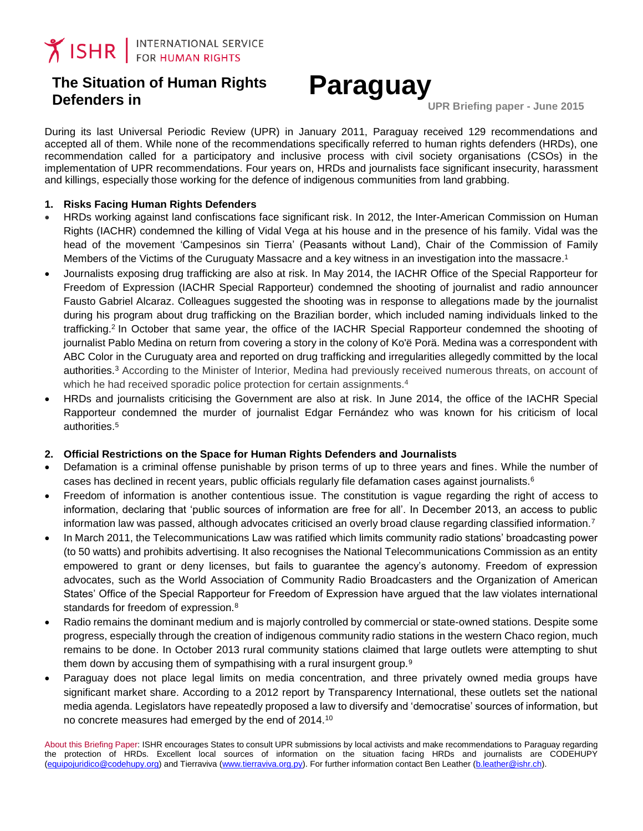# **The Situation of Human Rights Defenders in Paraguay**

 **UPR Briefing paper - June 2015** 

During its last Universal Periodic Review (UPR) in January 2011, Paraguay received 129 recommendations and accepted all of them. While none of the recommendations specifically referred to human rights defenders (HRDs), one recommendation called for a participatory and inclusive process with civil society organisations (CSOs) in the implementation of UPR recommendations. Four years on, HRDs and journalists face significant insecurity, harassment and killings, especially those working for the defence of indigenous communities from land grabbing.

#### **1. Risks Facing Human Rights Defenders**

- HRDs working against land confiscations face significant risk. In 2012, the Inter-American Commission on Human Rights (IACHR) condemned the killing of Vidal Vega at his house and in the presence of his family. Vidal was the head of the movement 'Campesinos sin Tierra' (Peasants without Land), Chair of the Commission of Family Members of the Victims of the Curuguaty Massacre and a key witness in an investigation into the massacre. 1
- Journalists exposing drug trafficking are also at risk. In May 2014, the IACHR Office of the Special Rapporteur for Freedom of Expression (IACHR Special Rapporteur) condemned the shooting of journalist and radio announcer Fausto Gabriel Alcaraz. Colleagues suggested the shooting was in response to allegations made by the journalist during his program about drug trafficking on the Brazilian border, which included naming individuals linked to the trafficking. 2 In October that same year, the office of the IACHR Special Rapporteur condemned the shooting of journalist Pablo Medina on return from covering a story in the colony of Ko'ë Porä. Medina was a correspondent with ABC Color in the Curuguaty area and reported on drug trafficking and irregularities allegedly committed by the local authorities.<sup>3</sup> According to the Minister of Interior, Medina had previously received numerous threats, on account of which he had received sporadic police protection for certain assignments.<sup>4</sup>
- HRDs and journalists criticising the Government are also at risk. In June 2014, the office of the IACHR Special Rapporteur condemned the murder of journalist Edgar Fernández who was known for his criticism of local authorities. 5

#### **2. Official Restrictions on the Space for Human Rights Defenders and Journalists**

- Defamation is a criminal offense punishable by prison terms of up to three years and fines. While the number of cases has declined in recent years, public officials regularly file defamation cases against journalists.<sup>6</sup>
- Freedom of information is another contentious issue. The constitution is vague regarding the right of access to information, declaring that 'public sources of information are free for all'. In December 2013, an access to public information law was passed, although advocates criticised an overly broad clause regarding classified information.<sup>7</sup>
- In March 2011, the Telecommunications Law was ratified which limits community radio stations' broadcasting power (to 50 watts) and prohibits advertising. It also recognises the National Telecommunications Commission as an entity empowered to grant or deny licenses, but fails to guarantee the agency's autonomy. Freedom of expression advocates, such as the World Association of Community Radio Broadcasters and the Organization of American States' Office of the Special Rapporteur for Freedom of Expression have argued that the law violates international standards for freedom of expression.<sup>8</sup>
- Radio remains the dominant medium and is majorly controlled by commercial or state-owned stations. Despite some progress, especially through the creation of indigenous community radio stations in the western Chaco region, much remains to be done. In October 2013 rural community stations claimed that large outlets were attempting to shut them down by accusing them of sympathising with a rural insurgent group.<sup>9</sup>
- Paraguay does not place legal limits on media concentration, and three privately owned media groups have significant market share. According to a 2012 report by Transparency International, these outlets set the national media agenda. Legislators have repeatedly proposed a law to diversify and 'democratise' sources of information, but no concrete measures had emerged by the end of 2014.10

About this Briefing Paper: ISHR encourages States to consult UPR submissions by local activists and make recommendations to Paraguay regarding the protection of HRDs. Excellent local sources of information on the situation facing HRDs and journalists are CODEHUPY [\(equipojuridico@codehupy.org\)](mailto:equipojuridico@codehupy.org) and Tierraviva [\(www.tierraviva.org.py\)](http://www.tierraviva.org.py/). For further information contact Ben Leather [\(b.leather@ishr.ch\)](mailto:b.leather@ishr.ch).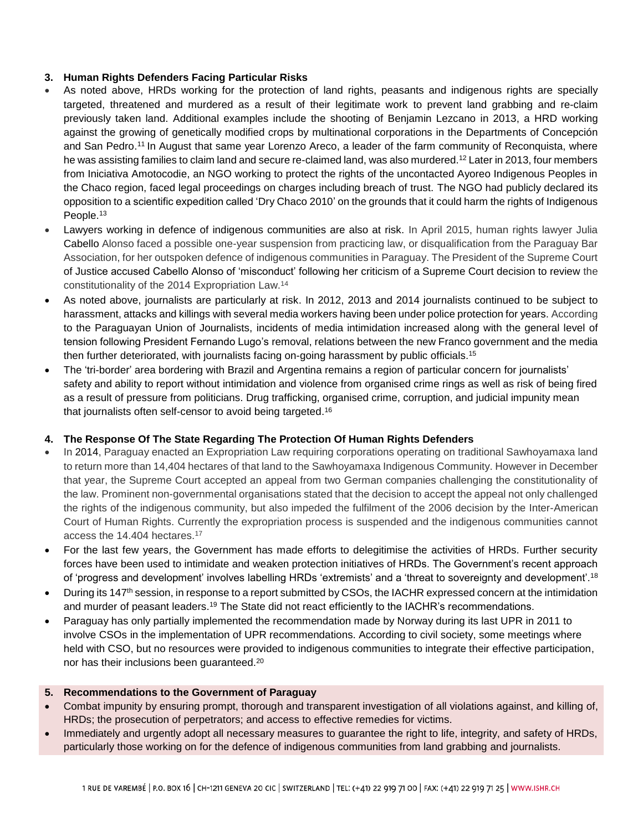### **3. Human Rights Defenders Facing Particular Risks**

- As noted above, HRDs working for the protection of land rights, peasants and indigenous rights are specially targeted, threatened and murdered as a result of their legitimate work to prevent land grabbing and re-claim previously taken land. Additional examples include the shooting of Benjamin Lezcano in 2013, a HRD working against the growing of genetically modified crops by multinational corporations in the Departments of Concepción and San Pedro. <sup>11</sup> In August that same year Lorenzo Areco, a leader of the farm community of Reconquista, where he was assisting families to claim land and secure re-claimed land, was also murdered.<sup>12</sup> Later in 2013, four members from Iniciativa Amotocodie, an NGO working to protect the rights of the uncontacted Ayoreo Indigenous Peoples in the Chaco region, faced legal proceedings on charges including breach of trust. The NGO had publicly declared its opposition to a scientific expedition called 'Dry Chaco 2010' on the grounds that it could harm the rights of Indigenous People.<sup>13</sup>
- Lawyers working in defence of indigenous communities are also at risk. In April 2015, human rights lawyer Julia Cabello Alonso faced a possible one-year suspension from practicing law, or disqualification from the Paraguay Bar Association, for her outspoken defence of indigenous communities in Paraguay. The President of the Supreme Court of Justice accused Cabello Alonso of 'misconduct' following her criticism of a Supreme Court decision to review the constitutionality of the 2014 Expropriation Law.<sup>14</sup>
- As noted above, journalists are particularly at risk. In 2012, 2013 and 2014 journalists continued to be subject to harassment, attacks and killings with several media workers having been under police protection for years. According to the Paraguayan Union of Journalists, incidents of media intimidation increased along with the general level of tension following President Fernando Lugo's removal, relations between the new Franco government and the media then further deteriorated, with journalists facing on-going harassment by public officials.<sup>15</sup>
- The 'tri-border' area bordering with Brazil and Argentina remains a region of particular concern for journalists' safety and ability to report without intimidation and violence from organised crime rings as well as risk of being fired as a result of pressure from politicians. Drug trafficking, organised crime, corruption, and judicial impunity mean that journalists often self-censor to avoid being targeted. 16

## **4. The Response Of The State Regarding The Protection Of Human Rights Defenders**

- In 2014, Paraguay enacted an Expropriation Law requiring corporations operating on traditional Sawhoyamaxa land to return more than 14,404 hectares of that land to the Sawhoyamaxa Indigenous Community. However in December that year, the Supreme Court accepted an appeal from two German companies challenging the constitutionality of the law. Prominent non-governmental organisations stated that the decision to accept the appeal not only challenged the rights of the indigenous community, but also impeded the fulfilment of the 2006 decision by the Inter-American Court of Human Rights. Currently the expropriation process is suspended and the indigenous communities cannot access the 14.404 hectares.<sup>17</sup>
- For the last few years, the Government has made efforts to delegitimise the activities of HRDs. Further security forces have been used to intimidate and weaken protection initiatives of HRDs. The Government's recent approach of 'progress and development' involves labelling HRDs 'extremists' and a 'threat to sovereignty and development'.<sup>18</sup>
- During its 147<sup>th</sup> session, in response to a report submitted by CSOs, the IACHR expressed concern at the intimidation and murder of peasant leaders.<sup>19</sup> The State did not react efficiently to the IACHR's recommendations.
- Paraguay has only partially implemented the recommendation made by Norway during its last UPR in 2011 to involve CSOs in the implementation of UPR recommendations. According to civil society, some meetings where held with CSO, but no resources were provided to indigenous communities to integrate their effective participation, nor has their inclusions been guaranteed. 20

#### **5. Recommendations to the Government of Paraguay**

- Combat impunity by ensuring prompt, thorough and transparent investigation of all violations against, and killing of, HRDs; the prosecution of perpetrators; and access to effective remedies for victims.
- Immediately and urgently adopt all necessary measures to guarantee the right to life, integrity, and safety of HRDs, particularly those working on for the defence of indigenous communities from land grabbing and journalists.